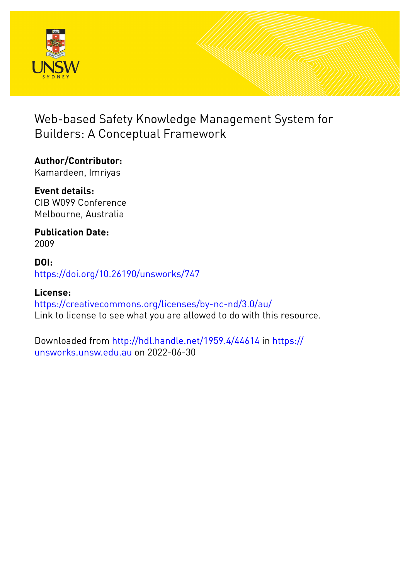

# Web-based Safety Knowledge Management System for Builders: A Conceptual Framework

## **Author/Contributor:** Kamardeen, Imriyas

**Event details:** CIB W099 Conference Melbourne, Australia

**Publication Date:** 2009

## **DOI:** [https://doi.org/10.26190/unsworks/747](http://dx.doi.org/https://doi.org/10.26190/unsworks/747)

## **License:** <https://creativecommons.org/licenses/by-nc-nd/3.0/au/> Link to license to see what you are allowed to do with this resource.

Downloaded from <http://hdl.handle.net/1959.4/44614> in [https://](https://unsworks.unsw.edu.au) [unsworks.unsw.edu.au](https://unsworks.unsw.edu.au) on 2022-06-30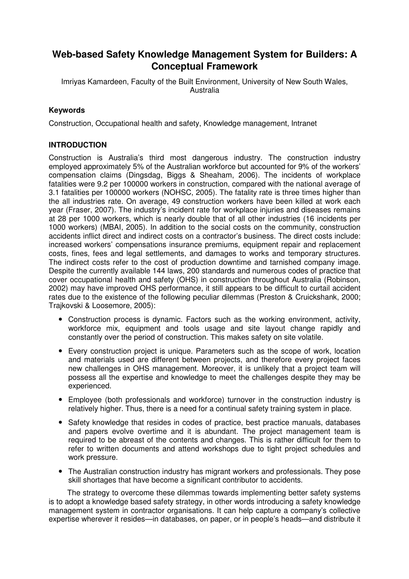## **Web-based Safety Knowledge Management System for Builders: A Conceptual Framework**

Imriyas Kamardeen, Faculty of the Built Environment, University of New South Wales, Australia

#### **Keywords**

Construction, Occupational health and safety, Knowledge management, Intranet

#### **INTRODUCTION**

Construction is Australia's third most dangerous industry. The construction industry employed approximately 5% of the Australian workforce but accounted for 9% of the workers' compensation claims (Dingsdag, Biggs & Sheaham, 2006). The incidents of workplace fatalities were 9.2 per 100000 workers in construction, compared with the national average of 3.1 fatalities per 100000 workers (NOHSC, 2005). The fatality rate is three times higher than the all industries rate. On average, 49 construction workers have been killed at work each year (Fraser, 2007). The industry's incident rate for workplace injuries and diseases remains at 28 per 1000 workers, which is nearly double that of all other industries (16 incidents per 1000 workers) (MBAI, 2005). In addition to the social costs on the community, construction accidents inflict direct and indirect costs on a contractor's business. The direct costs include: increased workers' compensations insurance premiums, equipment repair and replacement costs, fines, fees and legal settlements, and damages to works and temporary structures. The indirect costs refer to the cost of production downtime and tarnished company image. Despite the currently available 144 laws, 200 standards and numerous codes of practice that cover occupational health and safety (OHS) in construction throughout Australia (Robinson, 2002) may have improved OHS performance, it still appears to be difficult to curtail accident rates due to the existence of the following peculiar dilemmas (Preston & Cruickshank, 2000; Trajkovski & Loosemore, 2005):

- Construction process is dynamic. Factors such as the working environment, activity, workforce mix, equipment and tools usage and site layout change rapidly and constantly over the period of construction. This makes safety on site volatile.
- Every construction project is unique. Parameters such as the scope of work, location and materials used are different between projects, and therefore every project faces new challenges in OHS management. Moreover, it is unlikely that a project team will possess all the expertise and knowledge to meet the challenges despite they may be experienced.
- Employee (both professionals and workforce) turnover in the construction industry is relatively higher. Thus, there is a need for a continual safety training system in place.
- Safety knowledge that resides in codes of practice, best practice manuals, databases and papers evolve overtime and it is abundant. The project management team is required to be abreast of the contents and changes. This is rather difficult for them to refer to written documents and attend workshops due to tight project schedules and work pressure.
- The Australian construction industry has migrant workers and professionals. They pose skill shortages that have become a significant contributor to accidents.

The strategy to overcome these dilemmas towards implementing better safety systems is to adopt a knowledge based safety strategy, in other words introducing a safety knowledge management system in contractor organisations. It can help capture a company's collective expertise wherever it resides—in databases, on paper, or in people's heads—and distribute it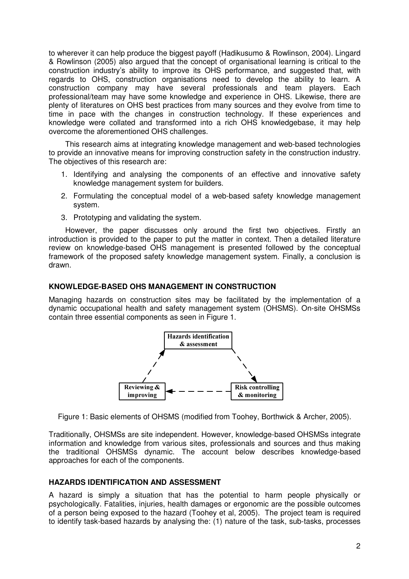to wherever it can help produce the biggest payoff (Hadikusumo & Rowlinson, 2004). Lingard & Rowlinson (2005) also argued that the concept of organisational learning is critical to the construction industry's ability to improve its OHS performance, and suggested that, with regards to OHS, construction organisations need to develop the ability to learn. A construction company may have several professionals and team players. Each professional/team may have some knowledge and experience in OHS. Likewise, there are plenty of literatures on OHS best practices from many sources and they evolve from time to time in pace with the changes in construction technology. If these experiences and knowledge were collated and transformed into a rich OHS knowledgebase, it may help overcome the aforementioned OHS challenges.

This research aims at integrating knowledge management and web-based technologies to provide an innovative means for improving construction safety in the construction industry. The objectives of this research are:

- 1. Identifying and analysing the components of an effective and innovative safety knowledge management system for builders.
- 2. Formulating the conceptual model of a web-based safety knowledge management system.
- 3. Prototyping and validating the system.

However, the paper discusses only around the first two objectives. Firstly an introduction is provided to the paper to put the matter in context. Then a detailed literature review on knowledge-based OHS management is presented followed by the conceptual framework of the proposed safety knowledge management system. Finally, a conclusion is drawn.

#### **KNOWLEDGE-BASED OHS MANAGEMENT IN CONSTRUCTION**

Managing hazards on construction sites may be facilitated by the implementation of a dynamic occupational health and safety management system (OHSMS). On-site OHSMSs contain three essential components as seen in Figure 1.



Figure 1: Basic elements of OHSMS (modified from Toohey, Borthwick & Archer, 2005).

Traditionally, OHSMSs are site independent. However, knowledge-based OHSMSs integrate information and knowledge from various sites, professionals and sources and thus making the traditional OHSMSs dynamic. The account below describes knowledge-based approaches for each of the components.

#### **HAZARDS IDENTIFICATION AND ASSESSMENT**

A hazard is simply a situation that has the potential to harm people physically or psychologically. Fatalities, injuries, health damages or ergonomic are the possible outcomes of a person being exposed to the hazard (Toohey et al, 2005). The project team is required to identify task-based hazards by analysing the: (1) nature of the task, sub-tasks, processes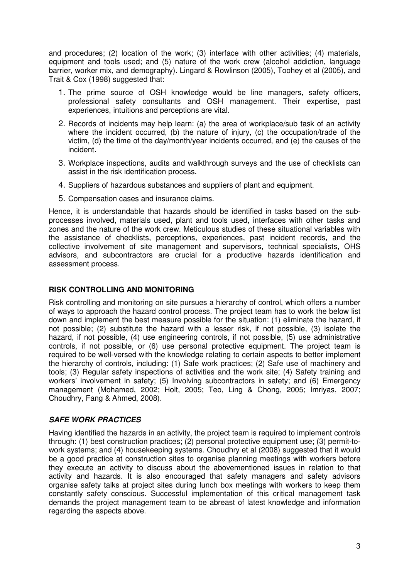and procedures; (2) location of the work; (3) interface with other activities; (4) materials, equipment and tools used; and (5) nature of the work crew (alcohol addiction, language barrier, worker mix, and demography). Lingard & Rowlinson (2005), Toohey et al (2005), and Trait & Cox (1998) suggested that:

- 1. The prime source of OSH knowledge would be line managers, safety officers, professional safety consultants and OSH management. Their expertise, past experiences, intuitions and perceptions are vital.
- 2. Records of incidents may help learn: (a) the area of workplace/sub task of an activity where the incident occurred, (b) the nature of injury, (c) the occupation/trade of the victim, (d) the time of the day/month/year incidents occurred, and (e) the causes of the incident.
- 3. Workplace inspections, audits and walkthrough surveys and the use of checklists can assist in the risk identification process.
- 4. Suppliers of hazardous substances and suppliers of plant and equipment.
- 5. Compensation cases and insurance claims.

Hence, it is understandable that hazards should be identified in tasks based on the subprocesses involved, materials used, plant and tools used, interfaces with other tasks and zones and the nature of the work crew. Meticulous studies of these situational variables with the assistance of checklists, perceptions, experiences, past incident records, and the collective involvement of site management and supervisors, technical specialists, OHS advisors, and subcontractors are crucial for a productive hazards identification and assessment process.

#### **RISK CONTROLLING AND MONITORING**

Risk controlling and monitoring on site pursues a hierarchy of control, which offers a number of ways to approach the hazard control process. The project team has to work the below list down and implement the best measure possible for the situation: (1) eliminate the hazard, if not possible; (2) substitute the hazard with a lesser risk, if not possible, (3) isolate the hazard, if not possible, (4) use engineering controls, if not possible, (5) use administrative controls, if not possible, or (6) use personal protective equipment. The project team is required to be well-versed with the knowledge relating to certain aspects to better implement the hierarchy of controls, including: (1) Safe work practices; (2) Safe use of machinery and tools; (3) Regular safety inspections of activities and the work site; (4) Safety training and workers' involvement in safety; (5) Involving subcontractors in safety; and (6) Emergency management (Mohamed, 2002; Holt, 2005; Teo, Ling & Chong, 2005; Imriyas, 2007; Choudhry, Fang & Ahmed, 2008).

#### **SAFE WORK PRACTICES**

Having identified the hazards in an activity, the project team is required to implement controls through: (1) best construction practices; (2) personal protective equipment use; (3) permit-towork systems; and (4) housekeeping systems. Choudhry et al (2008) suggested that it would be a good practice at construction sites to organise planning meetings with workers before they execute an activity to discuss about the abovementioned issues in relation to that activity and hazards. It is also encouraged that safety managers and safety advisors organise safety talks at project sites during lunch box meetings with workers to keep them constantly safety conscious. Successful implementation of this critical management task demands the project management team to be abreast of latest knowledge and information regarding the aspects above.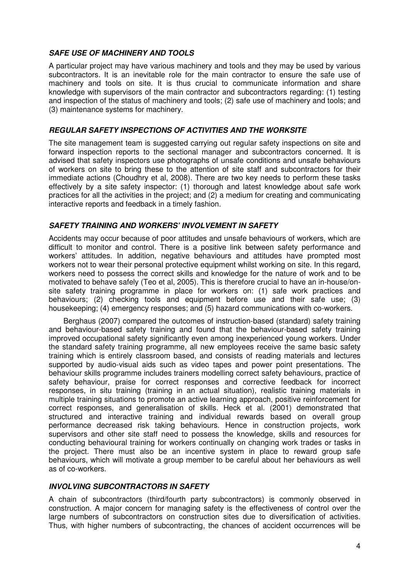#### **SAFE USE OF MACHINERY AND TOOLS**

A particular project may have various machinery and tools and they may be used by various subcontractors. It is an inevitable role for the main contractor to ensure the safe use of machinery and tools on site. It is thus crucial to communicate information and share knowledge with supervisors of the main contractor and subcontractors regarding: (1) testing and inspection of the status of machinery and tools; (2) safe use of machinery and tools; and (3) maintenance systems for machinery.

#### **REGULAR SAFETY INSPECTIONS OF ACTIVITIES AND THE WORKSITE**

The site management team is suggested carrying out regular safety inspections on site and forward inspection reports to the sectional manager and subcontractors concerned. It is advised that safety inspectors use photographs of unsafe conditions and unsafe behaviours of workers on site to bring these to the attention of site staff and subcontractors for their immediate actions (Choudhry et al, 2008). There are two key needs to perform these tasks effectively by a site safety inspector: (1) thorough and latest knowledge about safe work practices for all the activities in the project; and (2) a medium for creating and communicating interactive reports and feedback in a timely fashion.

#### **SAFETY TRAINING AND WORKERS' INVOLVEMENT IN SAFETY**

Accidents may occur because of poor attitudes and unsafe behaviours of workers, which are difficult to monitor and control. There is a positive link between safety performance and workers' attitudes. In addition, negative behaviours and attitudes have prompted most workers not to wear their personal protective equipment whilst working on site. In this regard, workers need to possess the correct skills and knowledge for the nature of work and to be motivated to behave safely (Teo et al, 2005). This is therefore crucial to have an in-house/onsite safety training programme in place for workers on: (1) safe work practices and behaviours; (2) checking tools and equipment before use and their safe use; (3) housekeeping; (4) emergency responses; and (5) hazard communications with co-workers.

Berghaus (2007) compared the outcomes of instruction-based (standard) safety training and behaviour-based safety training and found that the behaviour-based safety training improved occupational safety significantly even among inexperienced young workers. Under the standard safety training programme, all new employees receive the same basic safety training which is entirely classroom based, and consists of reading materials and lectures supported by audio-visual aids such as video tapes and power point presentations. The behaviour skills programme includes trainers modelling correct safety behaviours, practice of safety behaviour, praise for correct responses and corrective feedback for incorrect responses, in situ training (training in an actual situation), realistic training materials in multiple training situations to promote an active learning approach, positive reinforcement for correct responses, and generalisation of skills. Heck et al. (2001) demonstrated that structured and interactive training and individual rewards based on overall group performance decreased risk taking behaviours. Hence in construction projects, work supervisors and other site staff need to possess the knowledge, skills and resources for conducting behavioural training for workers continually on changing work trades or tasks in the project. There must also be an incentive system in place to reward group safe behaviours, which will motivate a group member to be careful about her behaviours as well as of co-workers.

#### **INVOLVING SUBCONTRACTORS IN SAFETY**

A chain of subcontractors (third/fourth party subcontractors) is commonly observed in construction. A major concern for managing safety is the effectiveness of control over the large numbers of subcontractors on construction sites due to diversification of activities. Thus, with higher numbers of subcontracting, the chances of accident occurrences will be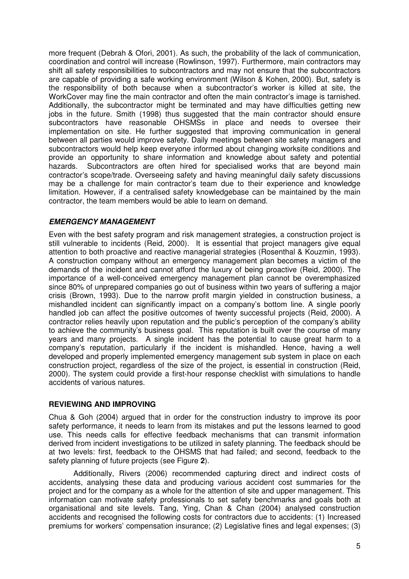more frequent (Debrah & Ofori, 2001). As such, the probability of the lack of communication, coordination and control will increase (Rowlinson, 1997). Furthermore, main contractors may shift all safety responsibilities to subcontractors and may not ensure that the subcontractors are capable of providing a safe working environment (Wilson & Kohen, 2000). But, safety is the responsibility of both because when a subcontractor's worker is killed at site, the WorkCover may fine the main contractor and often the main contractor's image is tarnished. Additionally, the subcontractor might be terminated and may have difficulties getting new jobs in the future. Smith (1998) thus suggested that the main contractor should ensure subcontractors have reasonable OHSMSs in place and needs to oversee their implementation on site. He further suggested that improving communication in general between all parties would improve safety. Daily meetings between site safety managers and subcontractors would help keep everyone informed about changing worksite conditions and provide an opportunity to share information and knowledge about safety and potential hazards. Subcontractors are often hired for specialised works that are beyond main contractor's scope/trade. Overseeing safety and having meaningful daily safety discussions may be a challenge for main contractor's team due to their experience and knowledge limitation. However, if a centralised safety knowledgebase can be maintained by the main contractor, the team members would be able to learn on demand.

#### **EMERGENCY MANAGEMENT**

Even with the best safety program and risk management strategies, a construction project is still vulnerable to incidents (Reid, 2000). It is essential that project managers give equal attention to both proactive and reactive managerial strategies (Rosenthal & Kouzmin, 1993). A construction company without an emergency management plan becomes a victim of the demands of the incident and cannot afford the luxury of being proactive (Reid, 2000). The importance of a well-conceived emergency management plan cannot be overemphasized since 80% of unprepared companies go out of business within two years of suffering a major crisis (Brown, 1993). Due to the narrow profit margin yielded in construction business, a mishandled incident can significantly impact on a company's bottom line. A single poorly handled job can affect the positive outcomes of twenty successful projects (Reid, 2000). A contractor relies heavily upon reputation and the public's perception of the company's ability to achieve the community's business goal. This reputation is built over the course of many years and many projects. A single incident has the potential to cause great harm to a company's reputation, particularly if the incident is mishandled. Hence, having a well developed and properly implemented emergency management sub system in place on each construction project, regardless of the size of the project, is essential in construction (Reid, 2000). The system could provide a first-hour response checklist with simulations to handle accidents of various natures.

#### **REVIEWING AND IMPROVING**

Chua & Goh (2004) argued that in order for the construction industry to improve its poor safety performance, it needs to learn from its mistakes and put the lessons learned to good use. This needs calls for effective feedback mechanisms that can transmit information derived from incident investigations to be utilized in safety planning. The feedback should be at two levels: first, feedback to the OHSMS that had failed; and second, feedback to the safety planning of future projects (see Figure **2**).

Additionally, Rivers (2006) recommended capturing direct and indirect costs of accidents, analysing these data and producing various accident cost summaries for the project and for the company as a whole for the attention of site and upper management. This information can motivate safety professionals to set safety benchmarks and goals both at organisational and site levels. Tang, Ying, Chan & Chan (2004) analysed construction accidents and recognised the following costs for contractors due to accidents: (1) Increased premiums for workers' compensation insurance; (2) Legislative fines and legal expenses; (3)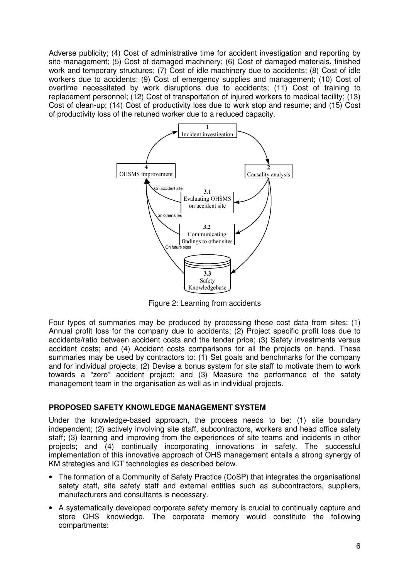Adverse publicity; (4) Cost of administrative time for accident investigation and reporting by site management; (5) Cost of damaged machinery; (6) Cost of damaged materials, finished work and temporary structures; (7) Cost of idle machinery due to accidents; (8) Cost of idle workers due to accidents; (9) Cost of emergency supplies and management; (10) Cost of overtime necessitated by work disruptions due to accidents; (11) Cost of training to replacement personnel; (12) Cost of transportation of injured workers to medical facility; (13) Cost of clean-up; (14) Cost of productivity loss due to work stop and resume; and (15) Cost of productivity loss of the retuned worker due to a reduced capacity.



Figure 2: Learning from accidents

Four types of summaries may be produced by processing these cost data from sites: (1) Annual profit loss for the company due to accidents; (2) Project specific profit loss due to accidents/ratio between accident costs and the tender price; (3) Safety investments versus accident costs; and (4) Accident costs comparisons for all the projects on hand. These summaries may be used by contractors to: (1) Set goals and benchmarks for the company and for individual projects; (2) Devise a bonus system for site staff to motivate them to work towards a "zero" accident project; and (3) Measure the performance of the safety management team in the organisation as well as in individual projects.

#### **PROPOSED SAFETY KNOWLEDGE MANAGEMENT SYSTEM**

Under the knowledge-based approach, the process needs to be: (1) site boundary independent; (2) actively involving site staff, subcontractors, workers and head office safety staff; (3) learning and improving from the experiences of site teams and incidents in other projects; and (4) continually incorporating innovations in safety. The successful implementation of this innovative approach of OHS management entails a strong synergy of KM strategies and ICT technologies as described below.

- The formation of a Community of Safety Practice (CoSP) that integrates the organisational safety staff, site safety staff and external entities such as subcontractors, suppliers, manufacturers and consultants is necessary.
- A systematically developed corporate safety memory is crucial to continually capture and store OHS knowledge. The corporate memory would constitute the following compartments: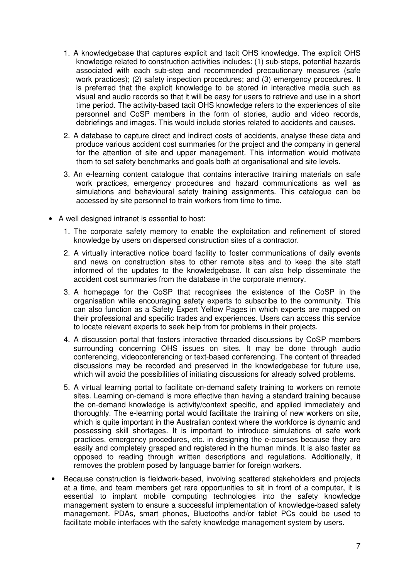- 1. A knowledgebase that captures explicit and tacit OHS knowledge. The explicit OHS knowledge related to construction activities includes: (1) sub-steps, potential hazards associated with each sub-step and recommended precautionary measures (safe work practices); (2) safety inspection procedures; and (3) emergency procedures. It is preferred that the explicit knowledge to be stored in interactive media such as visual and audio records so that it will be easy for users to retrieve and use in a short time period. The activity-based tacit OHS knowledge refers to the experiences of site personnel and CoSP members in the form of stories, audio and video records, debriefings and images. This would include stories related to accidents and causes.
- 2. A database to capture direct and indirect costs of accidents, analyse these data and produce various accident cost summaries for the project and the company in general for the attention of site and upper management. This information would motivate them to set safety benchmarks and goals both at organisational and site levels.
- 3. An e-learning content catalogue that contains interactive training materials on safe work practices, emergency procedures and hazard communications as well as simulations and behavioural safety training assignments. This catalogue can be accessed by site personnel to train workers from time to time.
- A well designed intranet is essential to host:
	- 1. The corporate safety memory to enable the exploitation and refinement of stored knowledge by users on dispersed construction sites of a contractor.
	- 2. A virtually interactive notice board facility to foster communications of daily events and news on construction sites to other remote sites and to keep the site staff informed of the updates to the knowledgebase. It can also help disseminate the accident cost summaries from the database in the corporate memory.
	- 3. A homepage for the CoSP that recognises the existence of the CoSP in the organisation while encouraging safety experts to subscribe to the community. This can also function as a Safety Expert Yellow Pages in which experts are mapped on their professional and specific trades and experiences. Users can access this service to locate relevant experts to seek help from for problems in their projects.
	- 4. A discussion portal that fosters interactive threaded discussions by CoSP members surrounding concerning OHS issues on sites. It may be done through audio conferencing, videoconferencing or text-based conferencing. The content of threaded discussions may be recorded and preserved in the knowledgebase for future use, which will avoid the possibilities of initiating discussions for already solved problems.
	- 5. A virtual learning portal to facilitate on-demand safety training to workers on remote sites. Learning on-demand is more effective than having a standard training because the on-demand knowledge is activity/context specific, and applied immediately and thoroughly. The e-learning portal would facilitate the training of new workers on site, which is quite important in the Australian context where the workforce is dynamic and possessing skill shortages. It is important to introduce simulations of safe work practices, emergency procedures, etc. in designing the e-courses because they are easily and completely grasped and registered in the human minds. It is also faster as opposed to reading through written descriptions and regulations. Additionally, it removes the problem posed by language barrier for foreign workers.
- Because construction is fieldwork-based, involving scattered stakeholders and projects at a time, and team members get rare opportunities to sit in front of a computer, it is essential to implant mobile computing technologies into the safety knowledge management system to ensure a successful implementation of knowledge-based safety management. PDAs, smart phones, Bluetooths and/or tablet PCs could be used to facilitate mobile interfaces with the safety knowledge management system by users.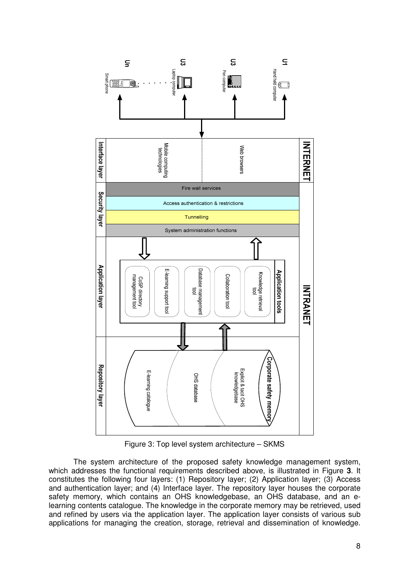

Figure 3: Top level system architecture – SKMS

The system architecture of the proposed safety knowledge management system, which addresses the functional requirements described above, is illustrated in Figure **3**. It constitutes the following four layers: (1) Repository layer; (2) Application layer; (3) Access and authentication layer; and (4) Interface layer. The repository layer houses the corporate safety memory, which contains an OHS knowledgebase, an OHS database, and an elearning contents catalogue. The knowledge in the corporate memory may be retrieved, used and refined by users via the application layer. The application layer consists of various sub applications for managing the creation, storage, retrieval and dissemination of knowledge.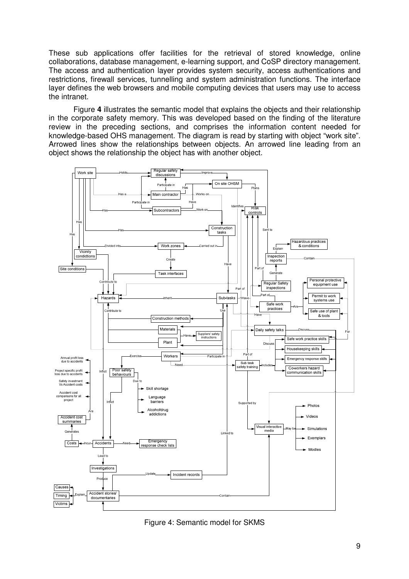These sub applications offer facilities for the retrieval of stored knowledge, online collaborations, database management, e-learning support, and CoSP directory management. The access and authentication layer provides system security, access authentications and restrictions, firewall services, tunnelling and system administration functions. The interface layer defines the web browsers and mobile computing devices that users may use to access the intranet.

Figure **4** illustrates the semantic model that explains the objects and their relationship in the corporate safety memory. This was developed based on the finding of the literature review in the preceding sections, and comprises the information content needed for knowledge-based OHS management. The diagram is read by starting with object "work site". Arrowed lines show the relationships between objects. An arrowed line leading from an object shows the relationship the object has with another object.



Figure 4: Semantic model for SKMS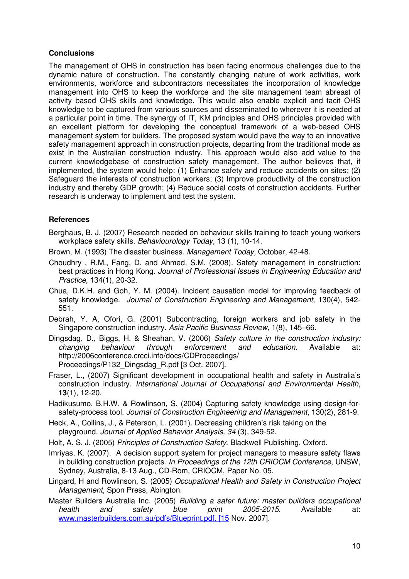#### **Conclusions**

The management of OHS in construction has been facing enormous challenges due to the dynamic nature of construction. The constantly changing nature of work activities, work environments, workforce and subcontractors necessitates the incorporation of knowledge management into OHS to keep the workforce and the site management team abreast of activity based OHS skills and knowledge. This would also enable explicit and tacit OHS knowledge to be captured from various sources and disseminated to wherever it is needed at a particular point in time. The synergy of IT, KM principles and OHS principles provided with an excellent platform for developing the conceptual framework of a web-based OHS management system for builders. The proposed system would pave the way to an innovative safety management approach in construction projects, departing from the traditional mode as exist in the Australian construction industry. This approach would also add value to the current knowledgebase of construction safety management. The author believes that, if implemented, the system would help: (1) Enhance safety and reduce accidents on sites; (2) Safeguard the interests of construction workers; (3) Improve productivity of the construction industry and thereby GDP growth; (4) Reduce social costs of construction accidents. Further research is underway to implement and test the system.

#### **References**

Berghaus, B. J. (2007) Research needed on behaviour skills training to teach young workers workplace safety skills. Behaviourology Today, 13 (1), 10-14.

Brown, M. (1993) The disaster business. Management Today, October, 42-48.

Choudhry , R.M., Fang, D. and Ahmed, S.M. (2008). Safety management in construction: best practices in Hong Kong. Journal of Professional Issues in Engineering Education and Practice, 134(1), 20-32.

Chua, D.K.H. and Goh, Y. M. (2004). Incident causation model for improving feedback of safety knowledge. Journal of Construction Engineering and Management, 130(4), 542-551.

Debrah, Y. A, Ofori, G. (2001) Subcontracting, foreign workers and job safety in the Singapore construction industry. Asia Pacific Business Review, 1(8), 145–66.

- Dingsdag, D., Biggs, H. & Sheahan, V. (2006) Safety culture in the construction industry: changing behaviour through enforcement and education. Available at: http://2006conference.crcci.info/docs/CDProceedings/ Proceedings/P132\_Dingsdag\_R.pdf [3 Oct. 2007].
- Fraser, L., (2007) Significant development in occupational health and safety in Australia's construction industry. International Journal of Occupational and Environmental Health, **13**(1), 12-20.

Hadikusumo, B.H.W. & Rowlinson, S. (2004) Capturing safety knowledge using design-forsafety-process tool. Journal of Construction Engineering and Management, 130(2), 281-9.

Heck, A., Collins, J., & Peterson, L. (2001). Decreasing children's risk taking on the playground. Journal of Applied Behavior Analysis, 34 (3), 349-52.

Holt, A. S. J. (2005) Principles of Construction Safety. Blackwell Publishing, Oxford.

Imriyas, K. (2007). A decision support system for project managers to measure safety flaws in building construction projects. In Proceedings of the 12th CRIOCM Conference, UNSW, Sydney, Australia, 8-13 Aug., CD-Rom, CRIOCM, Paper No. 05.

Lingard, H and Rowlinson, S. (2005) Occupational Health and Safety in Construction Project Management, Spon Press, Abington.

Master Builders Australia Inc. (2005) Building a safer future: master builders occupational health and safety blue print 2005-2015. Available at: www.masterbuilders.com.au/pdfs/Blueprint.pdf. [15 Nov. 2007].